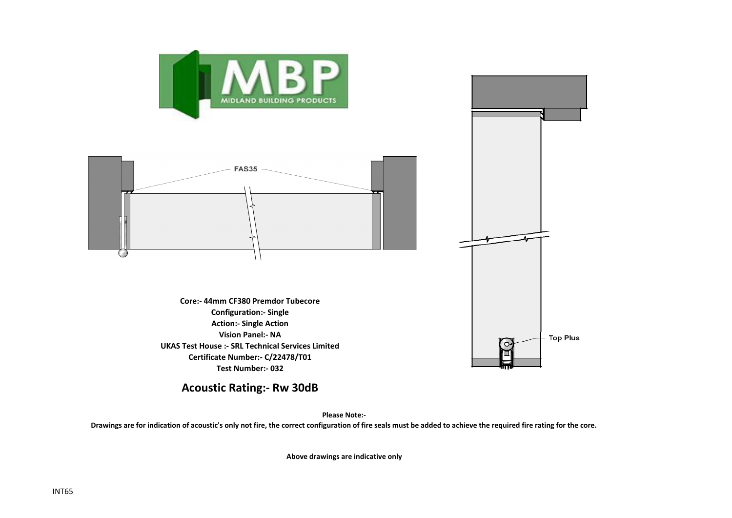

## **Acoustic Rating:- Rw 30dB**

**Please Note:-** 

**Drawings are for indication of acoustic's only not fire, the correct configuration of fire seals must be added to achieve the required fire rating for the core.**

**Above drawings are indicative only**